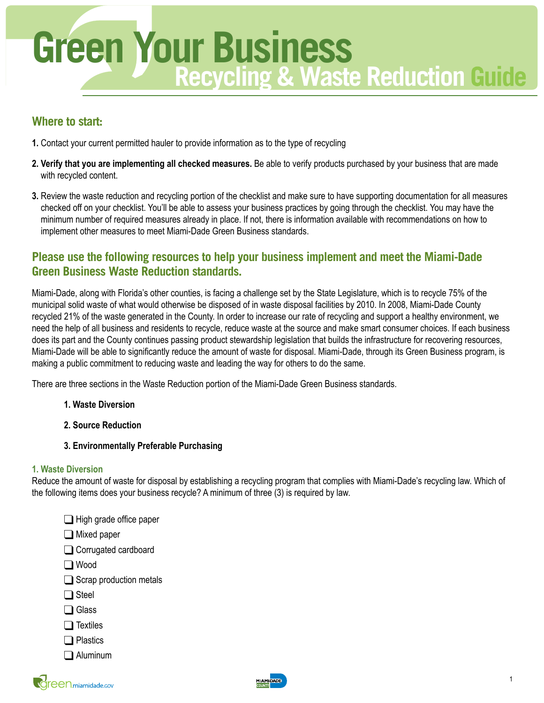

## **Where to start:**

- **1.** Contact your current permitted hauler to provide information as to the type of recycling
- **2. Verify that you are implementing all checked measures.** Be able to verify products purchased by your business that are made with recycled content.
- **3.** Review the waste reduction and recycling portion of the checklist and make sure to have supporting documentation for all measures checked off on your checklist. You'll be able to assess your business practices by going through the checklist. You may have the minimum number of required measures already in place. If not, there is information available with recommendations on how to implement other measures to meet Miami-Dade Green Business standards.

# **Please use the following resources to help your business implement and meet the Miami-Dade Green Business Waste Reduction standards.**

Miami-Dade, along with Florida's other counties, is facing a challenge set by the State Legislature, which is to recycle 75% of the municipal solid waste of what would otherwise be disposed of in waste disposal facilities by 2010. In 2008, Miami-Dade County recycled 21% of the waste generated in the County. In order to increase our rate of recycling and support a healthy environment, we need the help of all business and residents to recycle, reduce waste at the source and make smart consumer choices. If each business does its part and the County continues passing product stewardship legislation that builds the infrastructure for recovering resources, Miami-Dade will be able to significantly reduce the amount of waste for disposal. Miami-Dade, through its Green Business program, is making a public commitment to reducing waste and leading the way for others to do the same.

There are three sections in the Waste Reduction portion of the Miami-Dade Green Business standards.

- **1. Waste Diversion**
- **2. Source Reduction**
- **3. Environmentally Preferable Purchasing**

#### **1. Waste Diversion**

Reduce the amount of waste for disposal by establishing a recycling program that complies with Miami-Dade's recycling law. Which of the following items does your business recycle? A minimum of three (3) is required by law.

- $\Box$  High grade office paper
- Mixed paper
- Corrugated cardboard
- Wood
- $\Box$  Scrap production metals
- □ Steel
- □ Glass
- $\Box$  Textiles
- **□** Plastics
- Aluminum

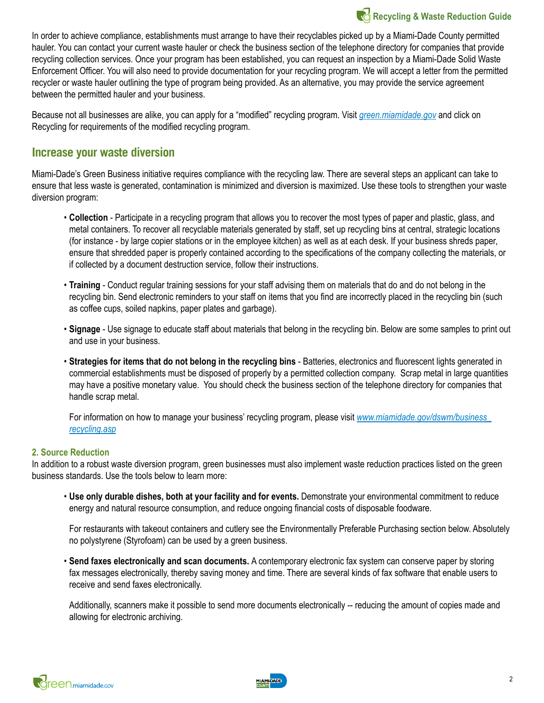

In order to achieve compliance, establishments must arrange to have their recyclables picked up by a Miami-Dade County permitted hauler. You can contact your current waste hauler or check the business section of the telephone directory for companies that provide recycling collection services. Once your program has been established, you can request an inspection by a Miami-Dade Solid Waste Enforcement Officer. You will also need to provide documentation for your recycling program. We will accept a letter from the permitted recycler or waste hauler outlining the type of program being provided. As an alternative, you may provide the service agreement between the permitted hauler and your business.

Because not all businesses are alike, you can apply for a "modified" recycling program. Visit *[green.miamidade.gov](http://green.miamidade.gov/)* and click on Recycling for requirements of the modified recycling program.

### **Increase your waste diversion**

Miami-Dade's Green Business initiative requires compliance with the recycling law. There are several steps an applicant can take to ensure that less waste is generated, contamination is minimized and diversion is maximized. Use these tools to strengthen your waste diversion program:

- **Collection** Participate in a recycling program that allows you to recover the most types of paper and plastic, glass, and metal containers. To recover all recyclable materials generated by staff, set up recycling bins at central, strategic locations (for instance - by large copier stations or in the employee kitchen) as well as at each desk. If your business shreds paper, ensure that shredded paper is properly contained according to the specifications of the company collecting the materials, or if collected by a document destruction service, follow their instructions.
- **Training** Conduct regular training sessions for your staff advising them on materials that do and do not belong in the recycling bin. Send electronic reminders to your staff on items that you find are incorrectly placed in the recycling bin (such as coffee cups, soiled napkins, paper plates and garbage).
- **Signage** Use signage to educate staff about materials that belong in the recycling bin. Below are some samples to print out and use in your business.
- **Strategies for items that do not belong in the recycling bins** Batteries, electronics and fluorescent lights generated in commercial establishments must be disposed of properly by a permitted collection company. Scrap metal in large quantities may have a positive monetary value. You should check the business section of the telephone directory for companies that handle scrap metal.

 For information on how to manage your business' recycling program, please visit *[www.miamidade.gov/dswm/business\\_](http://www.miamidade.gov/dswm/business_recycling.asp) [recycling.asp](http://www.miamidade.gov/dswm/business_recycling.asp)*

#### **2. Source Reduction**

In addition to a robust waste diversion program, green businesses must also implement waste reduction practices listed on the green business standards. Use the tools below to learn more:

• **Use only durable dishes, both at your facility and for events.** Demonstrate your environmental commitment to reduce energy and natural resource consumption, and reduce ongoing financial costs of disposable foodware.

 For restaurants with takeout containers and cutlery see the Environmentally Preferable Purchasing section below. Absolutely no polystyrene (Styrofoam) can be used by a green business.

• **Send faxes electronically and scan documents.** A contemporary electronic fax system can conserve paper by storing fax messages electronically, thereby saving money and time. There are several kinds of fax software that enable users to receive and send faxes electronically.

 Additionally, scanners make it possible to send more documents electronically -- reducing the amount of copies made and allowing for electronic archiving.